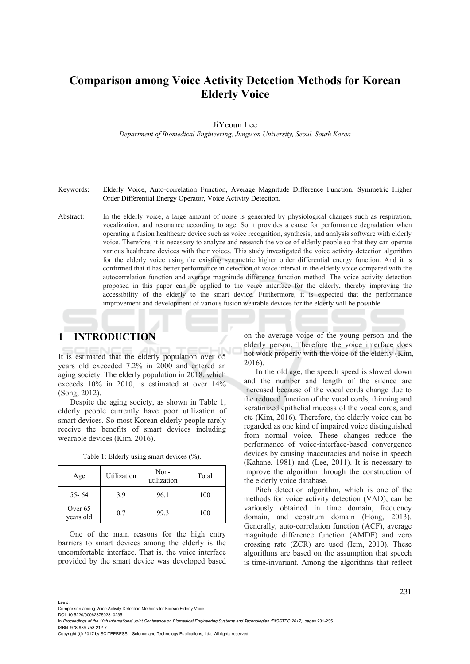# **Comparison among Voice Activity Detection Methods for Korean Elderly Voice**

JiYeoun Lee

*Department of Biomedical Engineering, Jungwon University, Seoul, South Korea* 

#### Keywords: Elderly Voice, Auto-correlation Function, Average Magnitude Difference Function, Symmetric Higher Order Differential Energy Operator, Voice Activity Detection.

Abstract: In the elderly voice, a large amount of noise is generated by physiological changes such as respiration, vocalization, and resonance according to age. So it provides a cause for performance degradation when operating a fusion healthcare device such as voice recognition, synthesis, and analysis software with elderly voice. Therefore, it is necessary to analyze and research the voice of elderly people so that they can operate various healthcare devices with their voices. This study investigated the voice activity detection algorithm for the elderly voice using the existing symmetric higher order differential energy function. And it is confirmed that it has better performance in detection of voice interval in the elderly voice compared with the autocorrelation function and average magnitude difference function method. The voice activity detection proposed in this paper can be applied to the voice interface for the elderly, thereby improving the accessibility of the elderly to the smart device. Furthermore, it is expected that the performance improvement and development of various fusion wearable devices for the elderly will be possible.

# **1 INTRODUCTION**

It is estimated that the elderly population over 65 years old exceeded 7.2% in 2000 and entered an aging society. The elderly population in 2018, which exceeds 10% in 2010, is estimated at over 14% (Song, 2012).

Despite the aging society, as shown in Table 1, elderly people currently have poor utilization of smart devices. So most Korean elderly people rarely receive the benefits of smart devices including wearable devices (Kim, 2016).

| Table 1: Elderly using smart devices (%). |  |  |  |  |  |  |  |  |
|-------------------------------------------|--|--|--|--|--|--|--|--|
|-------------------------------------------|--|--|--|--|--|--|--|--|

| Age                  | Utilization | Non-<br>utilization | Total |  |
|----------------------|-------------|---------------------|-------|--|
| $55 - 64$            | 3.9         | 96.1                | 100   |  |
| Over 65<br>vears old | 0.7         | 99.3                | 100   |  |

One of the main reasons for the high entry barriers to smart devices among the elderly is the uncomfortable interface. That is, the voice interface provided by the smart device was developed based on the average voice of the young person and the elderly person. Therefore the voice interface does not work properly with the voice of the elderly (Kim, 2016).

In the old age, the speech speed is slowed down and the number and length of the silence are increased because of the vocal cords change due to the reduced function of the vocal cords, thinning and keratinized epithelial mucosa of the vocal cords, and etc (Kim, 2016). Therefore, the elderly voice can be regarded as one kind of impaired voice distinguished from normal voice. These changes reduce the performance of voice-interface-based convergence devices by causing inaccuracies and noise in speech (Kahane, 1981) and (Lee, 2011). It is necessary to improve the algorithm through the construction of the elderly voice database.

Pitch detection algorithm, which is one of the methods for voice activity detection (VAD), can be variously obtained in time domain, frequency domain, and cepstrum domain (Hong, 2013). Generally, auto-correlation function (ACF), average magnitude difference function (AMDF) and zero crossing rate (ZCR) are used (Iem, 2010). These algorithms are based on the assumption that speech is time-invariant. Among the algorithms that reflect

Lee J.

Comparison among Voice Activity Detection Methods for Korean Elderly Voice.

DOI: 10.5220/0006237502310235

In *Proceedings of the 10th International Joint Conference on Biomedical Engineering Systems and Technologies (BIOSTEC 2017)*, pages 231-235 ISBN: 978-989-758-212-7

Copyright C 2017 by SCITEPRESS - Science and Technology Publications, Lda. All rights reserved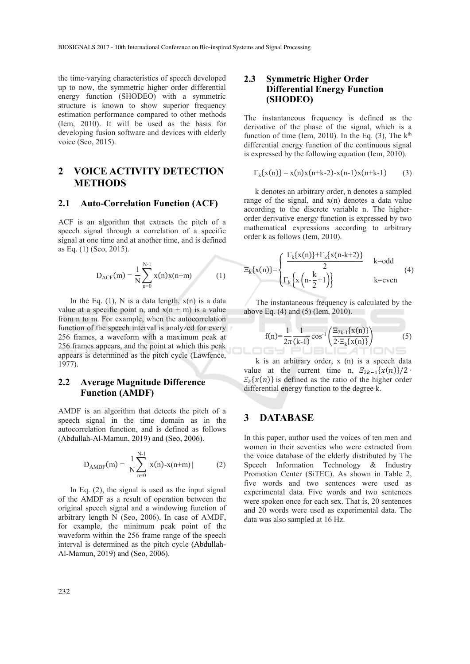the time-varying characteristics of speech developed up to now, the symmetric higher order differential energy function (SHODEO) with a symmetric structure is known to show superior frequency estimation performance compared to other methods (Iem, 2010). It will be used as the basis for developing fusion software and devices with elderly voice (Seo, 2015).

# **2 VOICE ACTIVITY DETECTION METHODS**

#### **2.1 Auto-Correlation Function (ACF)**

ACF is an algorithm that extracts the pitch of a speech signal through a correlation of a specific signal at one time and at another time, and is defined as Eq. (1) (Seo, 2015).

$$
D_{ACF}(m) = \frac{1}{N} \sum_{n=0}^{N-1} x(n)x(n+m)
$$
 (1)

In the Eq.  $(1)$ , N is a data length,  $x(n)$  is a data value at a specific point n, and  $x(n + m)$  is a value from n to m. For example, when the autocorrelation function of the speech interval is analyzed for every 256 frames, a waveform with a maximum peak at 256 frames appears, and the point at which this peak appears is determined as the pitch cycle (Lawfence, 1977).

#### **2.2 Average Magnitude Difference Function (AMDF)**

AMDF is an algorithm that detects the pitch of a speech signal in the time domain as in the autocorrelation function, and is defined as follows (Abdullah-Al-Mamun, 2019) and (Seo, 2006).

$$
D_{\text{AMDF}}(m) = \frac{1}{N} \sum_{n=0}^{N-1} |x(n) - x(n+m)| \tag{2}
$$

In Eq. (2), the signal is used as the input signal of the AMDF as a result of operation between the original speech signal and a windowing function of arbitrary length N (Seo, 2006). In case of AMDF, for example, the minimum peak point of the waveform within the 256 frame range of the speech interval is determined as the pitch cycle (Abdullah-Al-Mamun, 2019) and (Seo, 2006).

#### **2.3 Symmetric Higher Order Differential Energy Function (SHODEO)**

The instantaneous frequency is defined as the derivative of the phase of the signal, which is a function of time (Iem, 2010). In the Eq.  $(3)$ , The k<sup>th</sup> differential energy function of the continuous signal is expressed by the following equation (Iem, 2010).

$$
\Gamma_{k}\{x(n)\} = x(n)x(n+k-2) - x(n-1)x(n+k-1)
$$
 (3)

k denotes an arbitrary order, n denotes a sampled range of the signal, and  $x(n)$  denotes a data value according to the discrete variable n. The higherorder derivative energy function is expressed by two mathematical expressions according to arbitrary order k as follows (Iem, 2010).

$$
\Xi_k\{x(n)\} = \begin{cases}\n\frac{\Gamma_k\{x(n)\} + \Gamma_k\{x(n-k+2)\}}{2} & k = odd \\
\Gamma_k\{x\{n-\frac{k}{2}+1\}\} & k = even\n\end{cases} \tag{4}
$$

The instantaneous frequency is calculated by the above Eq. (4) and (5) (Iem, 2010).

$$
f(n) = \frac{1}{2\pi} \frac{1}{(k-1)} \cos^{-1} \left( \frac{\Xi_{2k-1} \{ x(n) \}}{2 \cdot \Xi_k \{ x(n) \}} \right) \tag{5}
$$

k is an arbitrary order, x (n) is a speech data value at the current time n,  $E_{2k-1}\{x(n)\}/2$  $E_k\{x(n)\}\$ is defined as the ratio of the higher order differential energy function to the degree k.

# **3 DATABASE**

In this paper, author used the voices of ten men and women in their seventies who were extracted from the voice database of the elderly distributed by The Speech Information Technology & Industry Promotion Center (SiTEC). As shown in Table 2, five words and two sentences were used as experimental data. Five words and two sentences were spoken once for each sex. That is, 20 sentences and 20 words were used as experimental data. The data was also sampled at 16 Hz.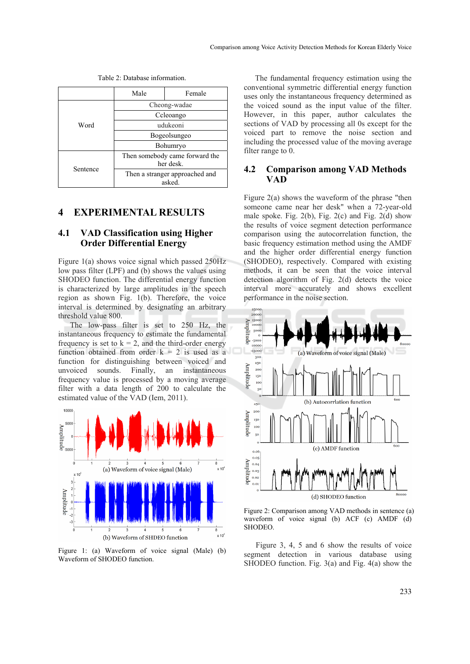|          | Male                                        | Female |  |
|----------|---------------------------------------------|--------|--|
|          | Cheong-wadae                                |        |  |
|          | Ccleoango                                   |        |  |
| Word     | udukeoni                                    |        |  |
|          | Bogeolsungeo                                |        |  |
|          | Bohumryo                                    |        |  |
| Sentence | Then somebody came forward the<br>her desk. |        |  |
|          | Then a stranger approached and<br>asked.    |        |  |

# **4 EXPERIMENTAL RESULTS**

#### **4.1 VAD Classification using Higher Order Differential Energy**

Figure 1(a) shows voice signal which passed 250Hz low pass filter (LPF) and (b) shows the values using SHODEO function. The differential energy function is characterized by large amplitudes in the speech region as shown Fig. 1(b). Therefore, the voice interval is determined by designating an arbitrary threshold value 800.

The low-pass filter is set to 250 Hz, the instantaneous frequency to estimate the fundamental frequency is set to  $k = 2$ , and the third-order energy function obtained from order  $k = 2$  is used as a function for distinguishing between voiced and unvoiced sounds. Finally, an instantaneous frequency value is processed by a moving average filter with a data length of 200 to calculate the estimated value of the VAD (Iem, 2011).



Figure 1: (a) Waveform of voice signal (Male) (b) Waveform of SHODEO function.

The fundamental frequency estimation using the conventional symmetric differential energy function uses only the instantaneous frequency determined as the voiced sound as the input value of the filter. However, in this paper, author calculates the sections of VAD by processing all 0s except for the voiced part to remove the noise section and including the processed value of the moving average filter range to 0.

#### **4.2 Comparison among VAD Methods VAD**

Figure  $2(a)$  shows the waveform of the phrase "then someone came near her desk" when a 72-year-old male spoke. Fig.  $2(b)$ , Fig.  $2(c)$  and Fig.  $2(d)$  show the results of voice segment detection performance comparison using the autocorrelation function, the basic frequency estimation method using the AMDF and the higher order differential energy function (SHODEO), respectively. Compared with existing methods, it can be seen that the voice interval detection algorithm of Fig. 2(d) detects the voice interval more accurately and shows excellent performance in the noise section.



Figure 2: Comparison among VAD methods in sentence (a) waveform of voice signal (b) ACF (c) AMDF (d) SHODEO.

Figure 3, 4, 5 and 6 show the results of voice segment detection in various database using SHODEO function. Fig. 3(a) and Fig. 4(a) show the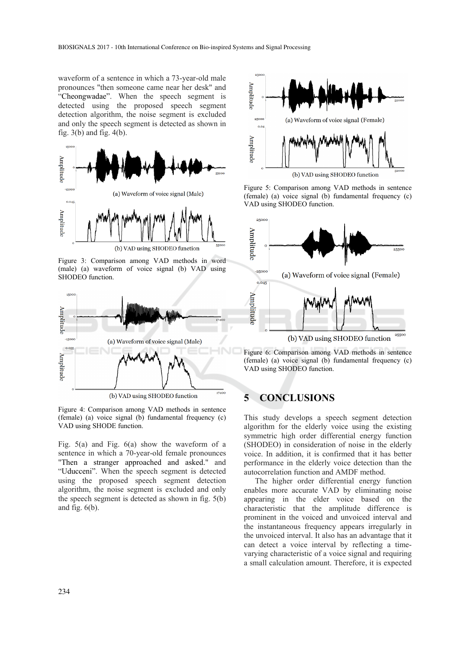waveform of a sentence in which a 73-year-old male pronounces "then someone came near her desk" and "Cheongwadae". When the speech segment is detected using the proposed speech segment detection algorithm, the noise segment is excluded and only the speech segment is detected as shown in fig. 3(b) and fig. 4(b).



Figure 3: Comparison among VAD methods in word (male) (a) waveform of voice signal (b) VAD using SHODEO function.



Figure 4: Comparison among VAD methods in sentence (female) (a) voice signal (b) fundamental frequency (c) VAD using SHODE function.

Fig. 5(a) and Fig. 6(a) show the waveform of a sentence in which a 70-year-old female pronounces "Then a stranger approached and asked." and "Uducceni". When the speech segment is detected using the proposed speech segment detection algorithm, the noise segment is excluded and only the speech segment is detected as shown in fig. 5(b) and fig.  $6(b)$ .



Figure 5: Comparison among VAD methods in sentence (female) (a) voice signal (b) fundamental frequency (c) VAD using SHODEO function.



Figure 6: Comparison among VAD methods in sentence (female) (a) voice signal (b) fundamental frequency (c) VAD using SHODEO function.

# **5 CONCLUSIONS**

This study develops a speech segment detection algorithm for the elderly voice using the existing symmetric high order differential energy function (SHODEO) in consideration of noise in the elderly voice. In addition, it is confirmed that it has better performance in the elderly voice detection than the autocorrelation function and AMDF method.

The higher order differential energy function enables more accurate VAD by eliminating noise appearing in the elder voice based on the characteristic that the amplitude difference is prominent in the voiced and unvoiced interval and the instantaneous frequency appears irregularly in the unvoiced interval. It also has an advantage that it can detect a voice interval by reflecting a timevarying characteristic of a voice signal and requiring a small calculation amount. Therefore, it is expected